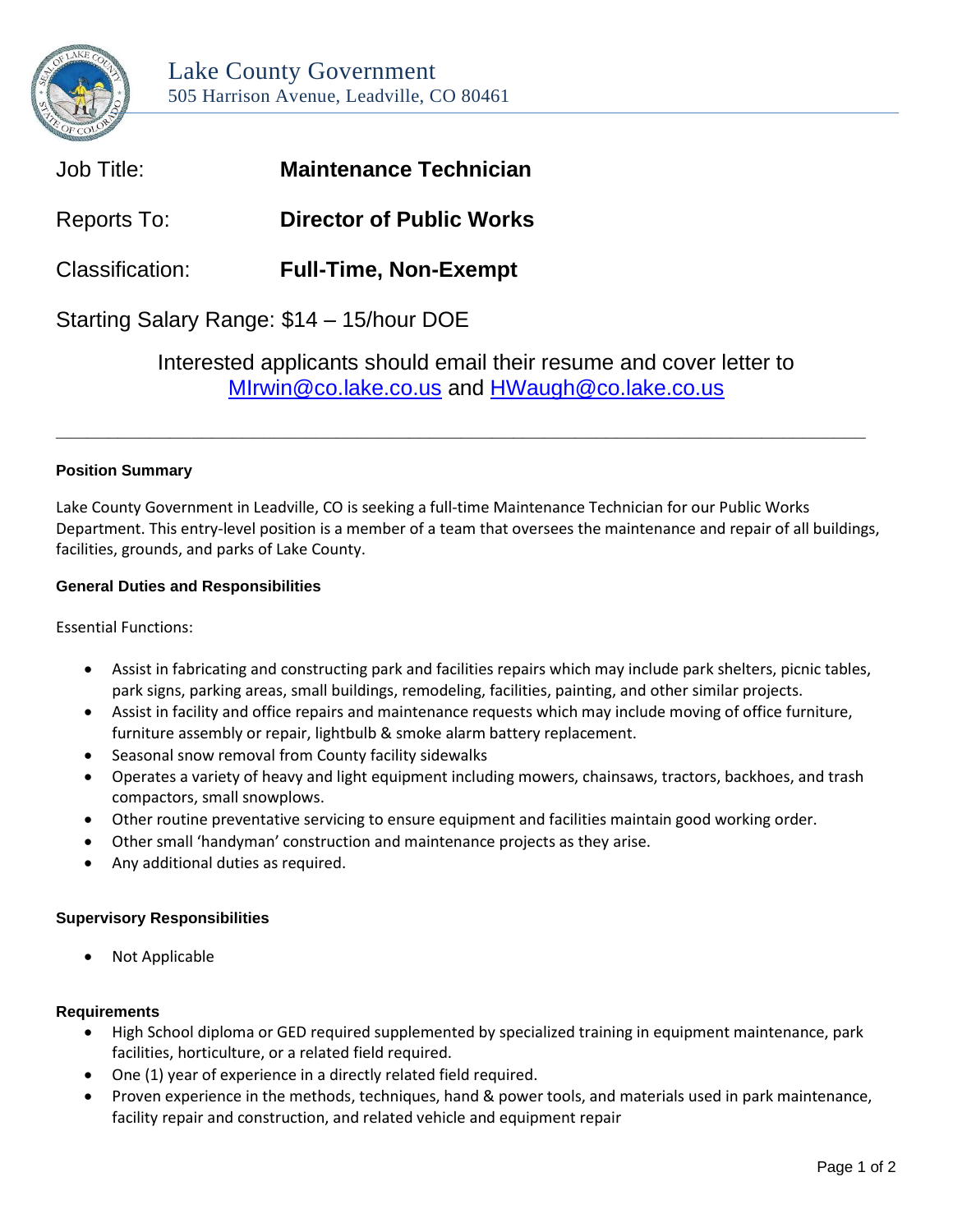

| Job Title:                                | <b>Maintenance Technician</b>   |
|-------------------------------------------|---------------------------------|
| Reports To:                               | <b>Director of Public Works</b> |
| Classification:                           | <b>Full-Time, Non-Exempt</b>    |
| Starting Salary Range: \$14 - 15/hour DOE |                                 |

Interested applicants should email their resume and cover letter to [MIrwin@co.lake.co.us](mailto:MIrwin@co.lake.co.us) and [HWaugh@co.lake.co.us](mailto:HWaugh@co.lake.co.us)

# **Position Summary**

Lake County Government in Leadville, CO is seeking a full-time Maintenance Technician for our Public Works Department. This entry-level position is a member of a team that oversees the maintenance and repair of all buildings, facilities, grounds, and parks of Lake County.

**\_\_\_\_\_\_\_\_\_\_\_\_\_\_\_\_\_\_\_\_\_\_\_\_\_\_\_\_\_\_\_\_\_\_\_\_\_\_\_\_\_\_\_\_\_\_\_\_\_\_\_\_\_\_\_\_\_\_\_\_\_\_\_\_\_\_\_\_\_\_\_\_\_\_\_\_\_\_**

# **General Duties and Responsibilities**

Essential Functions:

- Assist in fabricating and constructing park and facilities repairs which may include park shelters, picnic tables, park signs, parking areas, small buildings, remodeling, facilities, painting, and other similar projects.
- Assist in facility and office repairs and maintenance requests which may include moving of office furniture, furniture assembly or repair, lightbulb & smoke alarm battery replacement.
- Seasonal snow removal from County facility sidewalks
- Operates a variety of heavy and light equipment including mowers, chainsaws, tractors, backhoes, and trash compactors, small snowplows.
- Other routine preventative servicing to ensure equipment and facilities maintain good working order.
- Other small 'handyman' construction and maintenance projects as they arise.
- Any additional duties as required.

# **Supervisory Responsibilities**

Not Applicable

# **Requirements**

- High School diploma or GED required supplemented by specialized training in equipment maintenance, park facilities, horticulture, or a related field required.
- One (1) year of experience in a directly related field required.
- Proven experience in the methods, techniques, hand & power tools, and materials used in park maintenance, facility repair and construction, and related vehicle and equipment repair